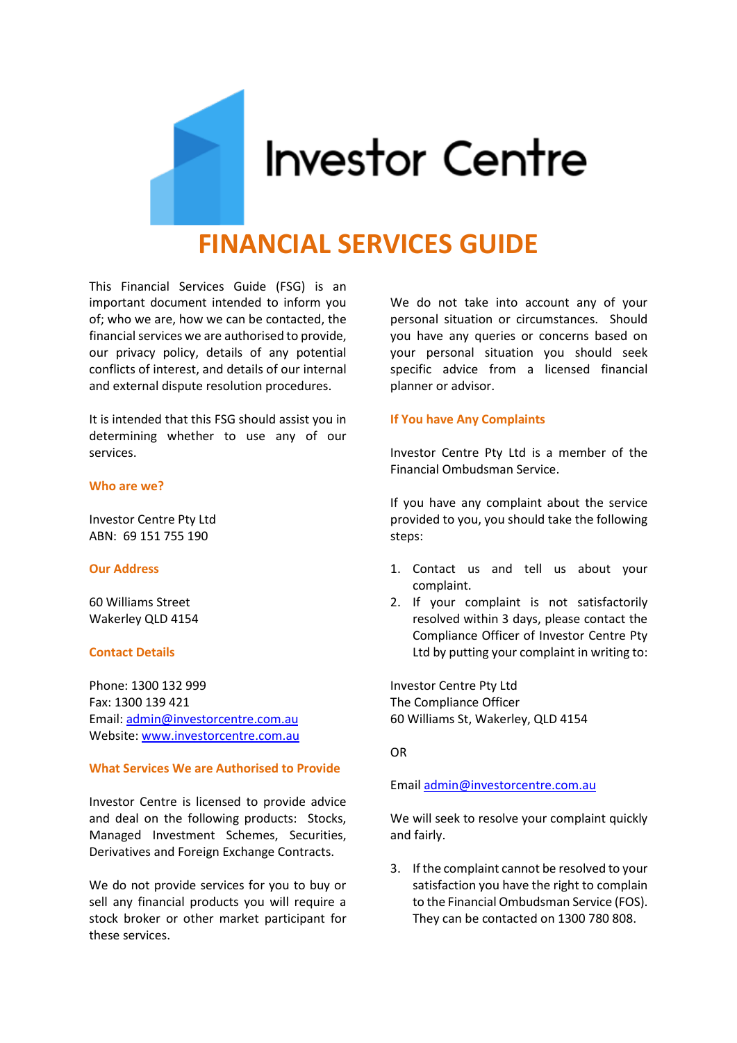

# **FINANCIAL SERVICES GUIDE**

This Financial Services Guide (FSG) is an important document intended to inform you of; who we are, how we can be contacted, the financial services we are authorised to provide, our privacy policy, details of any potential conflicts of interest, and details of our internal and external dispute resolution procedures.

It is intended that this FSG should assist you in determining whether to use any of our services.

## **Who are we?**

Investor Centre Pty Ltd ABN: 69 151 755 190

# **Our Address**

60 Williams Street Wakerley QLD 4154

# **Contact Details**

Phone: 1300 132 999 Fax: 1300 139 421 Email: [admin@investorcentre.com.au](mailto:admin@investorcentre.com.au) Website[: www.investorcentre.com.au](http://www.investorcentre.com.au/)

## **What Services We are Authorised to Provide**

Investor Centre is licensed to provide advice and deal on the following products: Stocks, Managed Investment Schemes, Securities, Derivatives and Foreign Exchange Contracts.

We do not provide services for you to buy or sell any financial products you will require a stock broker or other market participant for these services.

We do not take into account any of your personal situation or circumstances. Should you have any queries or concerns based on your personal situation you should seek specific advice from a licensed financial planner or advisor.

### **If You have Any Complaints**

Investor Centre Pty Ltd is a member of the Financial Ombudsman Service.

If you have any complaint about the service provided to you, you should take the following steps:

- 1. Contact us and tell us about your complaint.
- 2. If your complaint is not satisfactorily resolved within 3 days, please contact the Compliance Officer of Investor Centre Pty Ltd by putting your complaint in writing to:

Investor Centre Pty Ltd The Compliance Officer 60 Williams St, Wakerley, QLD 4154

OR

#### Emai[l admin@investorcentre.com.au](mailto:admin@investorcentre.com.au)

We will seek to resolve your complaint quickly and fairly.

3. If the complaint cannot be resolved to your satisfaction you have the right to complain to the Financial Ombudsman Service (FOS). They can be contacted on 1300 780 808.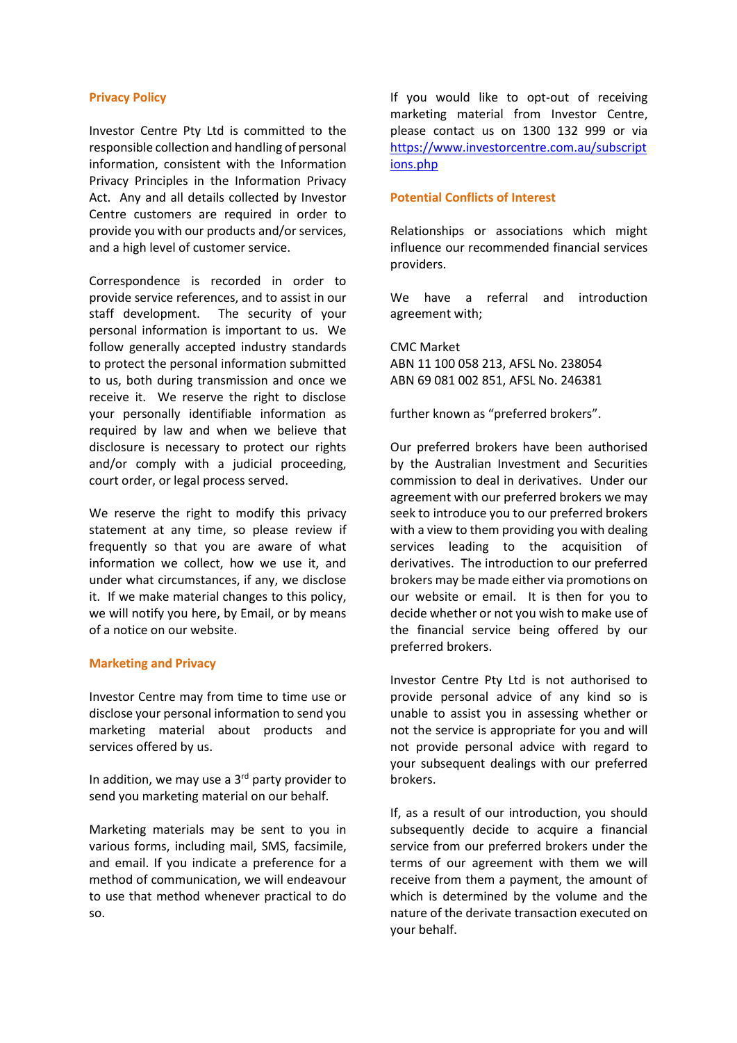# **Privacy Policy**

Investor Centre Pty Ltd is committed to the responsible collection and handling of personal information, consistent with the Information Privacy Principles in the Information Privacy Act. Any and all details collected by Investor Centre customers are required in order to provide you with our products and/or services, and a high level of customer service.

Correspondence is recorded in order to provide service references, and to assist in our staff development. The security of your personal information is important to us. We follow generally accepted industry standards to protect the personal information submitted to us, both during transmission and once we receive it. We reserve the right to disclose your personally identifiable information as required by law and when we believe that disclosure is necessary to protect our rights and/or comply with a judicial proceeding, court order, or legal process served.

We reserve the right to modify this privacy statement at any time, so please review if frequently so that you are aware of what information we collect, how we use it, and under what circumstances, if any, we disclose it. If we make material changes to this policy, we will notify you here, by Email, or by means of a notice on our website.

# **Marketing and Privacy**

Investor Centre may from time to time use or disclose your personal information to send you marketing material about products and services offered by us.

In addition, we may use a  $3<sup>rd</sup>$  party provider to send you marketing material on our behalf.

Marketing materials may be sent to you in various forms, including mail, SMS, facsimile, and email. If you indicate a preference for a method of communication, we will endeavour to use that method whenever practical to do so.

If you would like to opt-out of receiving marketing material from Investor Centre, please contact us on 1300 132 999 or via [https://www.investorcentre.com.au/subscript](https://www.investorcentre.com.au/subscriptions.php) [ions.php](https://www.investorcentre.com.au/subscriptions.php)

# **Potential Conflicts of Interest**

Relationships or associations which might influence our recommended financial services providers.

We have a referral and introduction agreement with;

CMC Market ABN 11 100 058 213, AFSL No. 238054 ABN 69 081 002 851, AFSL No. 246381

further known as "preferred brokers".

Our preferred brokers have been authorised by the Australian Investment and Securities commission to deal in derivatives. Under our agreement with our preferred brokers we may seek to introduce you to our preferred brokers with a view to them providing you with dealing services leading to the acquisition of derivatives. The introduction to our preferred brokers may be made either via promotions on our website or email. It is then for you to decide whether or not you wish to make use of the financial service being offered by our preferred brokers.

Investor Centre Pty Ltd is not authorised to provide personal advice of any kind so is unable to assist you in assessing whether or not the service is appropriate for you and will not provide personal advice with regard to your subsequent dealings with our preferred brokers.

If, as a result of our introduction, you should subsequently decide to acquire a financial service from our preferred brokers under the terms of our agreement with them we will receive from them a payment, the amount of which is determined by the volume and the nature of the derivate transaction executed on your behalf.